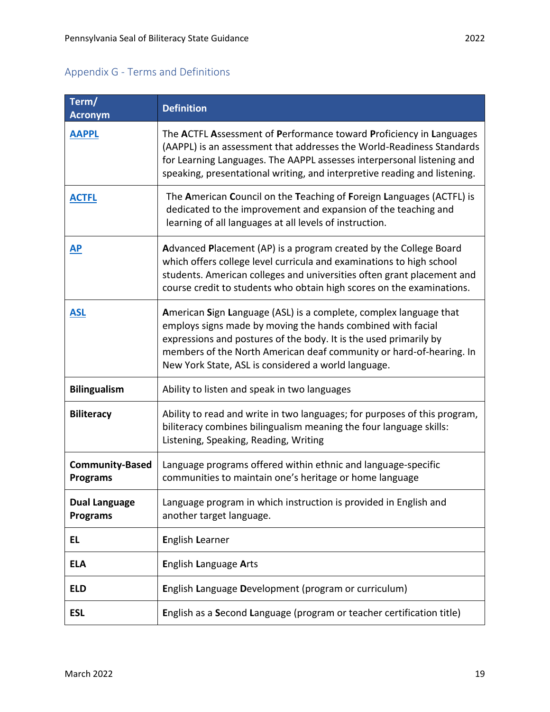| Term/<br><b>Acronym</b>                   | <b>Definition</b>                                                                                                                                                                                                                                                                                                                   |
|-------------------------------------------|-------------------------------------------------------------------------------------------------------------------------------------------------------------------------------------------------------------------------------------------------------------------------------------------------------------------------------------|
| <b>AAPPL</b>                              | The ACTFL Assessment of Performance toward Proficiency in Languages<br>(AAPPL) is an assessment that addresses the World-Readiness Standards<br>for Learning Languages. The AAPPL assesses interpersonal listening and<br>speaking, presentational writing, and interpretive reading and listening.                                 |
| <b>ACTFL</b>                              | The American Council on the Teaching of Foreign Languages (ACTFL) is<br>dedicated to the improvement and expansion of the teaching and<br>learning of all languages at all levels of instruction.                                                                                                                                   |
| AP                                        | Advanced Placement (AP) is a program created by the College Board<br>which offers college level curricula and examinations to high school<br>students. American colleges and universities often grant placement and<br>course credit to students who obtain high scores on the examinations.                                        |
| <b>ASL</b>                                | American Sign Language (ASL) is a complete, complex language that<br>employs signs made by moving the hands combined with facial<br>expressions and postures of the body. It is the used primarily by<br>members of the North American deaf community or hard-of-hearing. In<br>New York State, ASL is considered a world language. |
| <b>Bilingualism</b>                       | Ability to listen and speak in two languages                                                                                                                                                                                                                                                                                        |
| <b>Biliteracy</b>                         | Ability to read and write in two languages; for purposes of this program,<br>biliteracy combines bilingualism meaning the four language skills:<br>Listening, Speaking, Reading, Writing                                                                                                                                            |
| <b>Community-Based</b><br><b>Programs</b> | Language programs offered within ethnic and language-specific<br>communities to maintain one's heritage or home language                                                                                                                                                                                                            |
| <b>Dual Language</b><br><b>Programs</b>   | Language program in which instruction is provided in English and<br>another target language.                                                                                                                                                                                                                                        |
| EL                                        | <b>English Learner</b>                                                                                                                                                                                                                                                                                                              |
| <b>ELA</b>                                | <b>English Language Arts</b>                                                                                                                                                                                                                                                                                                        |
| <b>ELD</b>                                | English Language Development (program or curriculum)                                                                                                                                                                                                                                                                                |
| <b>ESL</b>                                | English as a Second Language (program or teacher certification title)                                                                                                                                                                                                                                                               |